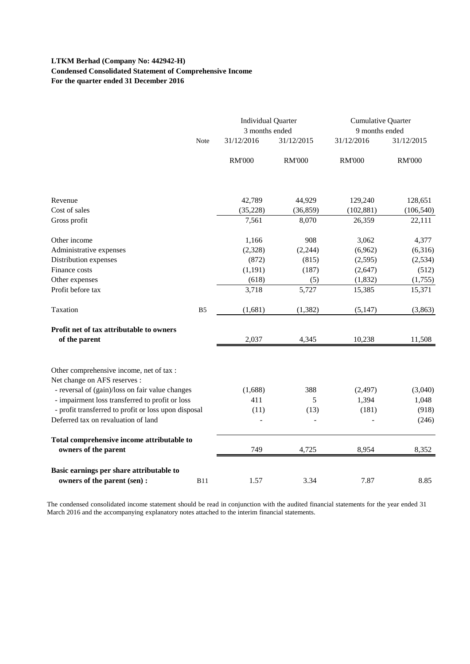## **LTKM Berhad (Company No: 442942-H) Condensed Consolidated Statement of Comprehensive Income For the quarter ended 31 December 2016**

|                                                                          |                | <b>Individual Quarter</b><br>3 months ended |               | <b>Cumulative Quarter</b><br>9 months ended |               |
|--------------------------------------------------------------------------|----------------|---------------------------------------------|---------------|---------------------------------------------|---------------|
|                                                                          | Note           | 31/12/2016                                  | 31/12/2015    | 31/12/2016                                  | 31/12/2015    |
|                                                                          |                | <b>RM'000</b>                               | <b>RM'000</b> | <b>RM'000</b>                               | <b>RM'000</b> |
| Revenue                                                                  |                | 42,789                                      | 44,929        | 129,240                                     | 128,651       |
| Cost of sales                                                            |                | (35, 228)                                   | (36, 859)     | (102, 881)                                  | (106, 540)    |
| Gross profit                                                             |                | 7,561                                       | 8,070         | 26,359                                      | 22,111        |
| Other income                                                             |                | 1,166                                       | 908           | 3,062                                       | 4,377         |
| Administrative expenses                                                  |                | (2,328)                                     | (2,244)       | (6,962)                                     | (6,316)       |
| Distribution expenses                                                    |                | (872)                                       | (815)         | (2,595)                                     | (2,534)       |
| Finance costs                                                            |                | (1, 191)                                    | (187)         | (2,647)                                     | (512)         |
| Other expenses                                                           |                | (618)                                       | (5)           | (1, 832)                                    | (1,755)       |
| Profit before tax                                                        |                | 3,718                                       | 5,727         | 15,385                                      | 15,371        |
| Taxation                                                                 | B <sub>5</sub> | (1,681)                                     | (1, 382)      | (5, 147)                                    | (3,863)       |
| Profit net of tax attributable to owners<br>of the parent                |                | 2,037                                       | 4,345         | 10,238                                      | 11,508        |
| Other comprehensive income, net of tax :<br>Net change on AFS reserves : |                |                                             |               |                                             |               |
| - reversal of (gain)/loss on fair value changes                          |                | (1,688)                                     | 388           | (2, 497)                                    | (3,040)       |
| - impairment loss transferred to profit or loss                          |                | 411                                         | 5             | 1,394                                       | 1,048         |
| - profit transferred to profit or loss upon disposal                     |                | (11)                                        | (13)          | (181)                                       | (918)         |
| Deferred tax on revaluation of land                                      |                |                                             |               |                                             | (246)         |
| Total comprehensive income attributable to<br>owners of the parent       |                | 749                                         | 4,725         | 8,954                                       | 8,352         |
| Basic earnings per share attributable to<br>owners of the parent (sen) : | <b>B11</b>     | 1.57                                        | 3.34          | 7.87                                        | 8.85          |

The condensed consolidated income statement should be read in conjunction with the audited financial statements for the year ended 31 March 2016 and the accompanying explanatory notes attached to the interim financial statements.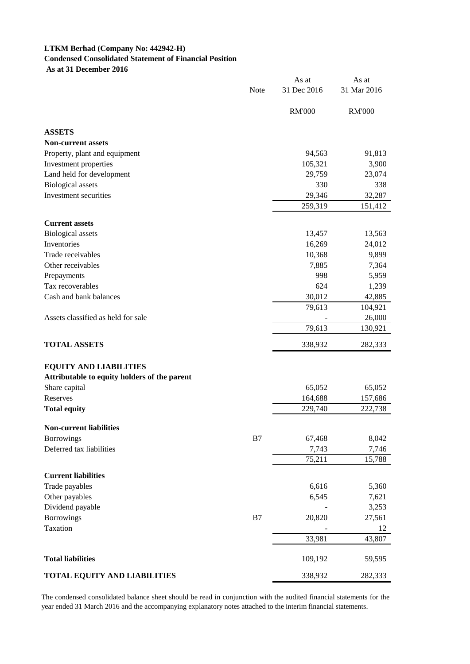# **LTKM Berhad (Company No: 442942-H) Condensed Consolidated Statement of Financial Position As at 31 December 2016**

|                                              | Note | As at<br>31 Dec 2016 | As at<br>31 Mar 2016 |
|----------------------------------------------|------|----------------------|----------------------|
|                                              |      | <b>RM'000</b>        | <b>RM'000</b>        |
| <b>ASSETS</b>                                |      |                      |                      |
| <b>Non-current assets</b>                    |      |                      |                      |
| Property, plant and equipment                |      | 94,563               | 91,813               |
| Investment properties                        |      | 105,321              | 3,900                |
| Land held for development                    |      | 29,759               | 23,074               |
| <b>Biological</b> assets                     |      | 330                  | 338                  |
| Investment securities                        |      | 29,346<br>259,319    | 32,287<br>151,412    |
| <b>Current assets</b>                        |      |                      |                      |
| <b>Biological</b> assets                     |      | 13,457               | 13,563               |
| Inventories                                  |      | 16,269               | 24,012               |
| Trade receivables                            |      | 10,368               | 9,899                |
| Other receivables                            |      | 7,885                | 7,364                |
| Prepayments                                  |      | 998                  | 5,959                |
| Tax recoverables                             |      | 624                  | 1,239                |
| Cash and bank balances                       |      | 30,012               | 42,885               |
|                                              |      | 79,613               | 104,921              |
| Assets classified as held for sale           |      |                      | 26,000               |
|                                              |      | 79,613               | 130,921              |
| <b>TOTAL ASSETS</b>                          |      | 338,932              | 282,333              |
| <b>EQUITY AND LIABILITIES</b>                |      |                      |                      |
| Attributable to equity holders of the parent |      |                      |                      |
| Share capital                                |      | 65,052               | 65,052               |
| Reserves                                     |      | 164,688              | 157,686              |
| <b>Total equity</b>                          |      | 229,740              | 222,738              |
| <b>Non-current liabilities</b>               |      |                      |                      |
| <b>Borrowings</b>                            | B7   | 67,468               | 8,042                |
| Deferred tax liabilities                     |      | 7,743                | 7,746                |
|                                              |      | 75,211               | 15,788               |
| <b>Current liabilities</b>                   |      |                      |                      |
| Trade payables                               |      | 6,616                | 5,360                |
| Other payables                               |      | 6,545                | 7,621                |
| Dividend payable                             |      |                      | 3,253                |
| <b>Borrowings</b>                            | B7   | 20,820               | 27,561               |
| Taxation                                     |      |                      | 12                   |
|                                              |      | 33,981               | 43,807               |
| <b>Total liabilities</b>                     |      | 109,192              | 59,595               |
| TOTAL EQUITY AND LIABILITIES                 |      | 338,932              | 282,333              |

The condensed consolidated balance sheet should be read in conjunction with the audited financial statements for the year ended 31 March 2016 and the accompanying explanatory notes attached to the interim financial statements.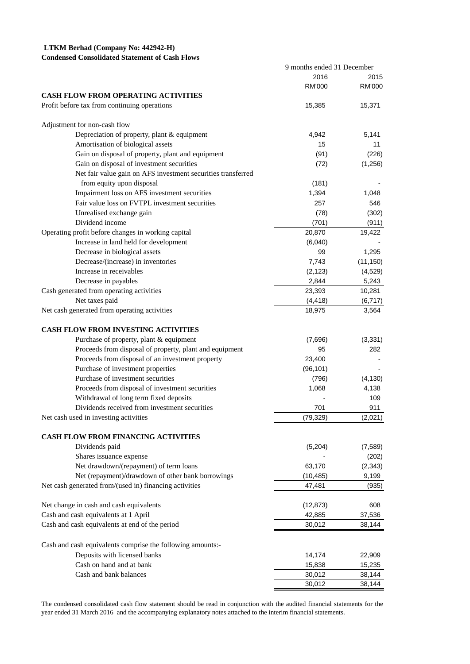### **LTKM Berhad (Company No: 442942-H)**

#### **Condensed Consolidated Statement of Cash Flows**

|                                                              | 9 months ended 31 December |               |
|--------------------------------------------------------------|----------------------------|---------------|
|                                                              | 2016                       | 2015          |
|                                                              | RM'000                     | <b>RM'000</b> |
| <b>CASH FLOW FROM OPERATING ACTIVITIES</b>                   |                            |               |
| Profit before tax from continuing operations                 | 15,385                     | 15,371        |
| Adjustment for non-cash flow                                 |                            |               |
| Depreciation of property, plant & equipment                  | 4,942                      | 5,141         |
| Amortisation of biological assets                            | 15                         | 11            |
| Gain on disposal of property, plant and equipment            | (91)                       | (226)         |
| Gain on disposal of investment securities                    | (72)                       | (1,256)       |
| Net fair value gain on AFS investment securities transferred |                            |               |
| from equity upon disposal                                    | (181)                      |               |
| Impairment loss on AFS investment securities                 | 1,394                      | 1,048         |
| Fair value loss on FVTPL investment securities               | 257                        | 546           |
| Unrealised exchange gain                                     | (78)                       | (302)         |
| Dividend income                                              | (701)                      | (911)         |
| Operating profit before changes in working capital           | 20,870                     | 19,422        |
| Increase in land held for development                        | (6,040)                    |               |
| Decrease in biological assets                                | 99                         | 1,295         |
| Decrease/(increase) in inventories                           | 7,743                      | (11, 150)     |
| Increase in receivables                                      | (2, 123)                   | (4,529)       |
| Decrease in payables                                         | 2,844                      | 5,243         |
| Cash generated from operating activities                     | 23,393                     | 10,281        |
| Net taxes paid                                               | (4, 418)                   | (6, 717)      |
| Net cash generated from operating activities                 | 18,975                     | 3,564         |
| <b>CASH FLOW FROM INVESTING ACTIVITIES</b>                   |                            |               |
| Purchase of property, plant & equipment                      | (7,696)                    | (3, 331)      |
| Proceeds from disposal of property, plant and equipment      | 95                         | 282           |
| Proceeds from disposal of an investment property             | 23,400                     |               |
| Purchase of investment properties                            | (96, 101)                  |               |
| Purchase of investment securities                            | (796)                      | (4, 130)      |
| Proceeds from disposal of investment securities              | 1,068                      | 4,138         |
| Withdrawal of long term fixed deposits                       |                            | 109           |
| Dividends received from investment securities                | 701                        | 911           |
| Net cash used in investing activities                        | (79, 329)                  | (2,021)       |
| <b>CASH FLOW FROM FINANCING ACTIVITIES</b>                   |                            |               |
| Dividends paid                                               | (5,204)                    | (7, 589)      |
| Shares issuance expense                                      |                            | (202)         |
| Net drawdown/(repayment) of term loans                       | 63,170                     | (2, 343)      |
| Net (repayment)/drawdown of other bank borrowings            | (10, 485)                  | 9,199         |
| Net cash generated from/(used in) financing activities       | 47,481                     | (935)         |
| Net change in cash and cash equivalents                      | (12, 873)                  | 608           |
| Cash and cash equivalents at 1 April                         | 42,885                     | 37,536        |
| Cash and cash equivalents at end of the period               | 30,012                     | 38,144        |
| Cash and cash equivalents comprise the following amounts:-   |                            |               |
| Deposits with licensed banks                                 | 14,174                     | 22,909        |
| Cash on hand and at bank                                     | 15,838                     | 15,235        |
| Cash and bank balances                                       | 30,012                     | 38,144        |
|                                                              | 30,012                     | 38,144        |
|                                                              |                            |               |

The condensed consolidated cash flow statement should be read in conjunction with the audited financial statements for the year ended 31 March 2016 and the accompanying explanatory notes attached to the interim financial statements.